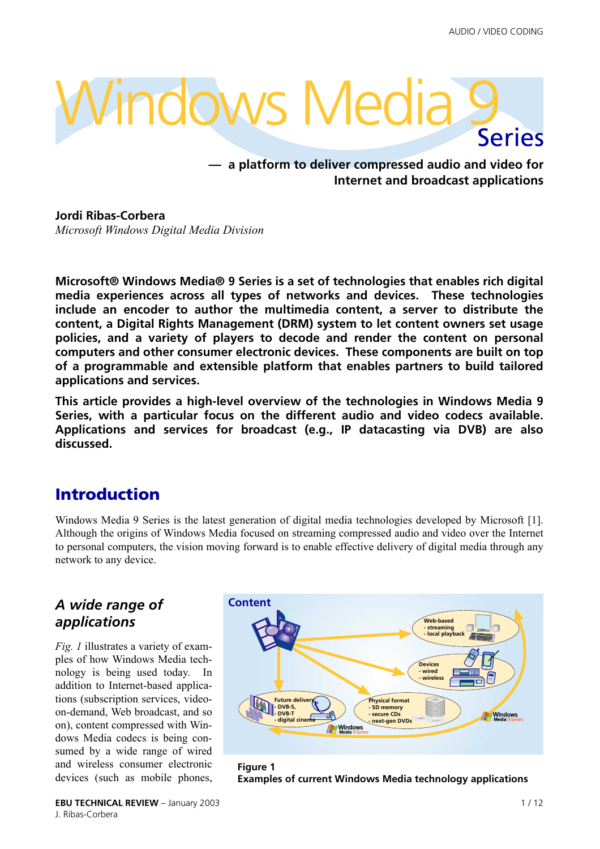# Windows Media Series

**— a platform to deliver compressed audio and video for Internet and broadcast applications**

**Jordi Ribas-Corbera** *Microsoft Windows Digital Media Division*

**Microsoft® Windows Media® 9 Series is a set of technologies that enables rich digital media experiences across all types of networks and devices. These technologies include an encoder to author the multimedia content, a server to distribute the content, a Digital Rights Management (DRM) system to let content owners set usage policies, and a variety of players to decode and render the content on personal computers and other consumer electronic devices. These components are built on top of a programmable and extensible platform that enables partners to build tailored applications and services.**

**This article provides a high-level overview of the technologies in Windows Media 9 Series, with a particular focus on the different audio and video codecs available. Applications and services for broadcast (e.g., IP datacasting via DVB) are also discussed.**

# **Introduction**

Windows Media 9 Series is the latest generation of digital media technologies developed by Microsoft [\[1\]](#page-10-0). Although the origins of Windows Media focused on streaming compressed audio and video over the Internet to personal computers, the vision moving forward is to enable effective delivery of digital media through any network to any device.

# *A wide range of applications*

*Fig. 1* illustrates a variety of examples of how Windows Media technology is being used today. In addition to Internet-based applications (subscription services, videoon-demand, Web broadcast, and so on), content compressed with Windows Media codecs is being consumed by a wide range of wired and wireless consumer electronic devices (such as mobile phones,



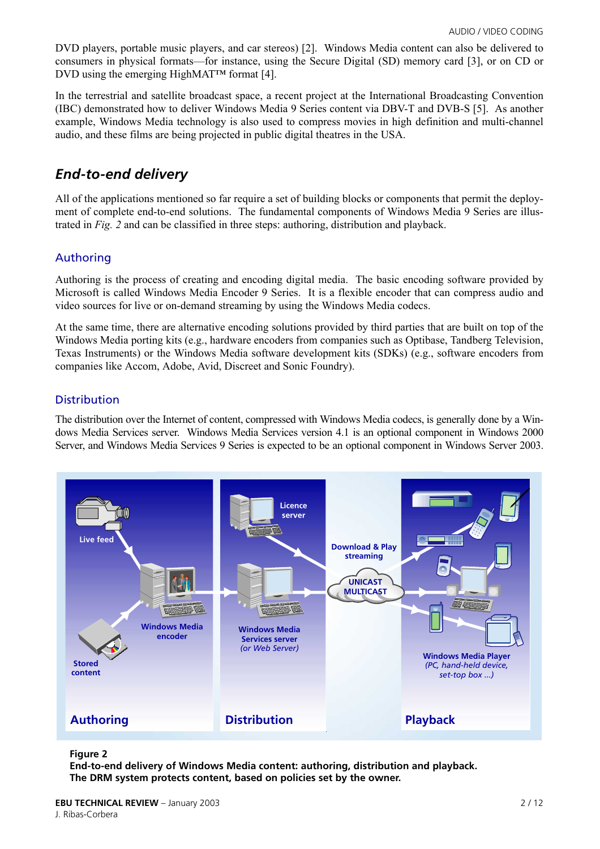DVD players, portable music players, and car stereos) [\[2\]](#page-10-1). Windows Media content can also be delivered to consumers in physical formats—for instance, using the Secure Digital (SD) memory card [\[3\]](#page-10-2), or on CD or DVD using the emerging HighMAT $TM$  format [\[4\].](#page-10-3)

In the terrestrial and satellite broadcast space, a recent project at the International Broadcasting Convention (IBC) demonstrated how to deliver Windows Media 9 Series content via DBV-T and DVB-S [\[5\].](#page-10-4) As another example, Windows Media technology is also used to compress movies in high definition and multi-channel audio, and these films are being projected in public digital theatres in the USA.

## *End-to-end delivery*

All of the applications mentioned so far require a set of building blocks or components that permit the deployment of complete end-to-end solutions. The fundamental components of Windows Media 9 Series are illustrated in *Fig. 2* and can be classified in three steps: authoring, distribution and playback.

#### Authoring

Authoring is the process of creating and encoding digital media. The basic encoding software provided by Microsoft is called Windows Media Encoder 9 Series. It is a flexible encoder that can compress audio and video sources for live or on-demand streaming by using the Windows Media codecs.

At the same time, there are alternative encoding solutions provided by third parties that are built on top of the Windows Media porting kits (e.g., hardware encoders from companies such as Optibase, Tandberg Television, Texas Instruments) or the Windows Media software development kits (SDKs) (e.g., software encoders from companies like Accom, Adobe, Avid, Discreet and Sonic Foundry).

#### **Distribution**

The distribution over the Internet of content, compressed with Windows Media codecs, is generally done by a Windows Media Services server. Windows Media Services version 4.1 is an optional component in Windows 2000 Server, and Windows Media Services 9 Series is expected to be an optional component in Windows Server 2003.



#### **Figure 2**

**End-to-end delivery of Windows Media content: authoring, distribution and playback. The DRM system protects content, based on policies set by the owner.**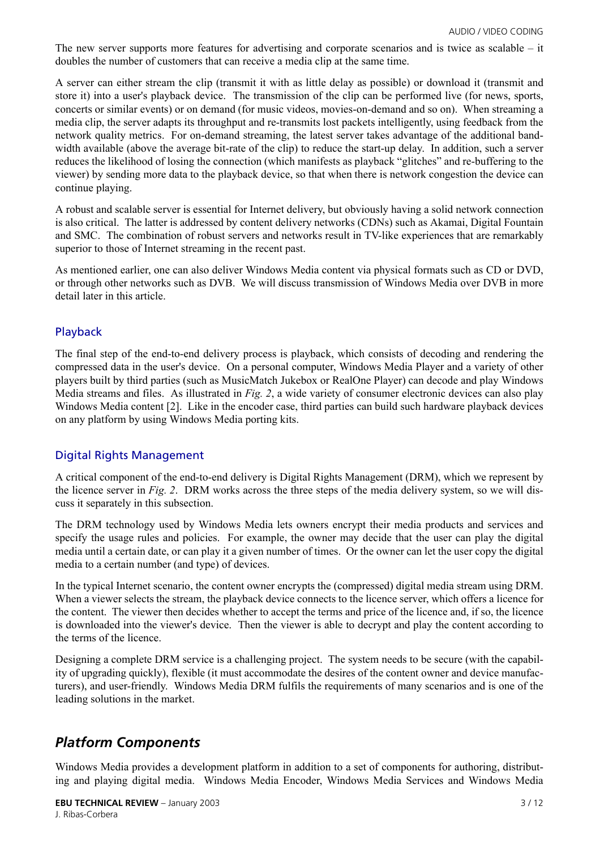The new server supports more features for advertising and corporate scenarios and is twice as scalable  $-$  it doubles the number of customers that can receive a media clip at the same time.

A server can either stream the clip (transmit it with as little delay as possible) or download it (transmit and store it) into a user's playback device. The transmission of the clip can be performed live (for news, sports, concerts or similar events) or on demand (for music videos, movies-on-demand and so on). When streaming a media clip, the server adapts its throughput and re-transmits lost packets intelligently, using feedback from the network quality metrics. For on-demand streaming, the latest server takes advantage of the additional bandwidth available (above the average bit-rate of the clip) to reduce the start-up delay. In addition, such a server reduces the likelihood of losing the connection (which manifests as playback "glitches" and re-buffering to the viewer) by sending more data to the playback device, so that when there is network congestion the device can continue playing.

A robust and scalable server is essential for Internet delivery, but obviously having a solid network connection is also critical. The latter is addressed by content delivery networks (CDNs) such as Akamai, Digital Fountain and SMC. The combination of robust servers and networks result in TV-like experiences that are remarkably superior to those of Internet streaming in the recent past.

As mentioned earlier, one can also deliver Windows Media content via physical formats such as CD or DVD, or through other networks such as DVB. We will discuss transmission of Windows Media over DVB in more detail later in this article.

#### Playback

The final step of the end-to-end delivery process is playback, which consists of decoding and rendering the compressed data in the user's device. On a personal computer, Windows Media Player and a variety of other players built by third parties (such as MusicMatch Jukebox or RealOne Player) can decode and play Windows Media streams and files. As illustrated in *Fig. 2*, a wide variety of consumer electronic devices can also play Windows Media content [\[2\].](#page-10-1) Like in the encoder case, third parties can build such hardware playback devices on any platform by using Windows Media porting kits.

#### Digital Rights Management

A critical component of the end-to-end delivery is Digital Rights Management (DRM), which we represent by the licence server in *Fig. 2*. DRM works across the three steps of the media delivery system, so we will discuss it separately in this subsection.

The DRM technology used by Windows Media lets owners encrypt their media products and services and specify the usage rules and policies. For example, the owner may decide that the user can play the digital media until a certain date, or can play it a given number of times. Or the owner can let the user copy the digital media to a certain number (and type) of devices.

In the typical Internet scenario, the content owner encrypts the (compressed) digital media stream using DRM. When a viewer selects the stream, the playback device connects to the licence server, which offers a licence for the content. The viewer then decides whether to accept the terms and price of the licence and, if so, the licence is downloaded into the viewer's device. Then the viewer is able to decrypt and play the content according to the terms of the licence.

Designing a complete DRM service is a challenging project. The system needs to be secure (with the capability of upgrading quickly), flexible (it must accommodate the desires of the content owner and device manufacturers), and user-friendly. Windows Media DRM fulfils the requirements of many scenarios and is one of the leading solutions in the market.

## *Platform Components*

Windows Media provides a development platform in addition to a set of components for authoring, distributing and playing digital media. Windows Media Encoder, Windows Media Services and Windows Media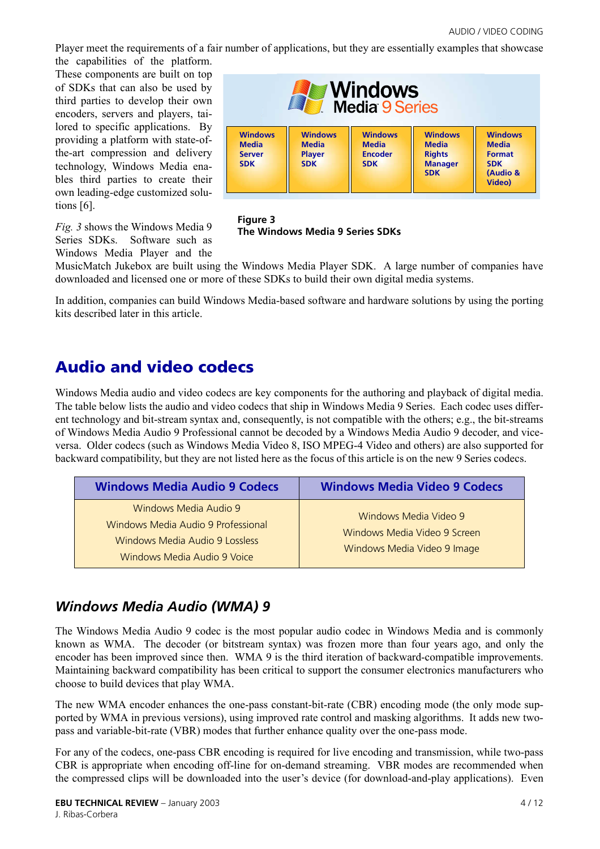Player meet the requirements of a fair number of applications, but they are essentially examples that showcase the capabilities of the platform.

These components are built on top of SDKs that can also be used by third parties to develop their own encoders, servers and players, tailored to specific applications. By providing a platform with state-ofthe-art compression and delivery technology, Windows Media enables third parties to create their own leading-edge customized solutions [\[6\].](#page-10-5)

*Fig. 3* shows the Windows Media 9 Series SDKs. Software such as Windows Media Player and the



**Figure 3 The Windows Media 9 Series SDKs**

MusicMatch Jukebox are built using the Windows Media Player SDK. A large number of companies have downloaded and licensed one or more of these SDKs to build their own digital media systems.

In addition, companies can build Windows Media-based software and hardware solutions by using the porting kits described later in this article.

# **Audio and video codecs**

Windows Media audio and video codecs are key components for the authoring and playback of digital media. The table below lists the audio and video codecs that ship in Windows Media 9 Series. Each codec uses different technology and bit-stream syntax and, consequently, is not compatible with the others; e.g., the bit-streams of Windows Media Audio 9 Professional cannot be decoded by a Windows Media Audio 9 decoder, and viceversa. Older codecs (such as Windows Media Video 8, ISO MPEG-4 Video and others) are also supported for backward compatibility, but they are not listed here as the focus of this article is on the new 9 Series codecs.

| <b>Windows Media Audio 9 Codecs</b>                                                                                          | <b>Windows Media Video 9 Codecs</b>                                                  |
|------------------------------------------------------------------------------------------------------------------------------|--------------------------------------------------------------------------------------|
| Windows Media Audio 9<br>Windows Media Audio 9 Professional<br>Windows Media Audio 9 Lossless<br>Windows Media Audio 9 Voice | Windows Media Video 9<br>Windows Media Video 9 Screen<br>Windows Media Video 9 Image |

## *Windows Media Audio (WMA) 9*

The Windows Media Audio 9 codec is the most popular audio codec in Windows Media and is commonly known as WMA. The decoder (or bitstream syntax) was frozen more than four years ago, and only the encoder has been improved since then. WMA 9 is the third iteration of backward-compatible improvements. Maintaining backward compatibility has been critical to support the consumer electronics manufacturers who choose to build devices that play WMA.

The new WMA encoder enhances the one-pass constant-bit-rate (CBR) encoding mode (the only mode supported by WMA in previous versions), using improved rate control and masking algorithms. It adds new twopass and variable-bit-rate (VBR) modes that further enhance quality over the one-pass mode.

For any of the codecs, one-pass CBR encoding is required for live encoding and transmission, while two-pass CBR is appropriate when encoding off-line for on-demand streaming. VBR modes are recommended when the compressed clips will be downloaded into the user's device (for download-and-play applications). Even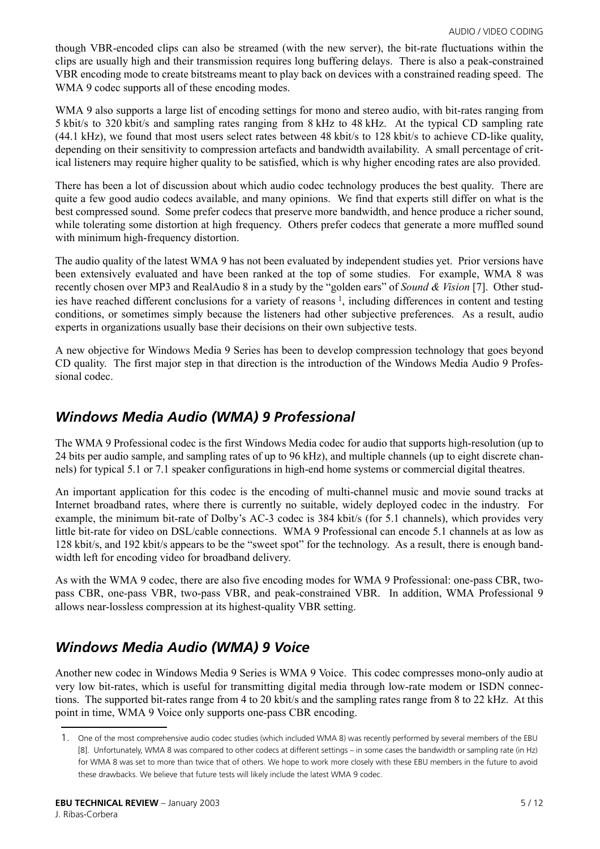though VBR-encoded clips can also be streamed (with the new server), the bit-rate fluctuations within the clips are usually high and their transmission requires long buffering delays. There is also a peak-constrained VBR encoding mode to create bitstreams meant to play back on devices with a constrained reading speed. The WMA 9 codec supports all of these encoding modes.

WMA 9 also supports a large list of encoding settings for mono and stereo audio, with bit-rates ranging from 5 kbit/s to 320 kbit/s and sampling rates ranging from 8 kHz to 48 kHz. At the typical CD sampling rate (44.1 kHz), we found that most users select rates between 48 kbit/s to 128 kbit/s to achieve CD-like quality, depending on their sensitivity to compression artefacts and bandwidth availability. A small percentage of critical listeners may require higher quality to be satisfied, which is why higher encoding rates are also provided.

There has been a lot of discussion about which audio codec technology produces the best quality. There are quite a few good audio codecs available, and many opinions. We find that experts still differ on what is the best compressed sound. Some prefer codecs that preserve more bandwidth, and hence produce a richer sound, while tolerating some distortion at high frequency. Others prefer codecs that generate a more muffled sound with minimum high-frequency distortion.

The audio quality of the latest WMA 9 has not been evaluated by independent studies yet. Prior versions have been extensively evaluated and have been ranked at the top of some studies. For example, WMA 8 was recently chosen over MP3 and RealAudio 8 in a study by the "golden ears" of *Sound & Vision* [\[7\]](#page-10-6). Other studies have reached different conclusions for a variety of reasons 1, including differences in content and testing conditions, or sometimes simply because the listeners had other subjective preferences. As a result, audio experts in organizations usually base their decisions on their own subjective tests.

A new objective for Windows Media 9 Series has been to develop compression technology that goes beyond CD quality. The first major step in that direction is the introduction of the Windows Media Audio 9 Professional codec.

## *Windows Media Audio (WMA) 9 Professional*

The WMA 9 Professional codec is the first Windows Media codec for audio that supports high-resolution (up to 24 bits per audio sample, and sampling rates of up to 96 kHz), and multiple channels (up to eight discrete channels) for typical 5.1 or 7.1 speaker configurations in high-end home systems or commercial digital theatres.

An important application for this codec is the encoding of multi-channel music and movie sound tracks at Internet broadband rates, where there is currently no suitable, widely deployed codec in the industry. For example, the minimum bit-rate of Dolby's AC-3 codec is 384 kbit/s (for 5.1 channels), which provides very little bit-rate for video on DSL/cable connections. WMA 9 Professional can encode 5.1 channels at as low as 128 kbit/s, and 192 kbit/s appears to be the "sweet spot" for the technology. As a result, there is enough bandwidth left for encoding video for broadband delivery.

As with the WMA 9 codec, there are also five encoding modes for WMA 9 Professional: one-pass CBR, twopass CBR, one-pass VBR, two-pass VBR, and peak-constrained VBR. In addition, WMA Professional 9 allows near-lossless compression at its highest-quality VBR setting.

# *Windows Media Audio (WMA) 9 Voice*

Another new codec in Windows Media 9 Series is WMA 9 Voice. This codec compresses mono-only audio at very low bit-rates, which is useful for transmitting digital media through low-rate modem or ISDN connections. The supported bit-rates range from 4 to 20 kbit/s and the sampling rates range from 8 to 22 kHz. At this point in time, WMA 9 Voice only supports one-pass CBR encoding.

<sup>1.</sup> One of the most comprehensive audio codec studies (which included WMA 8) was recently performed by several members of the EBU [\[8\]](#page-10-7). Unfortunately, WMA 8 was compared to other codecs at different settings – in some cases the bandwidth or sampling rate (in Hz) for WMA 8 was set to more than twice that of others. We hope to work more closely with these EBU members in the future to avoid these drawbacks. We believe that future tests will likely include the latest WMA 9 codec.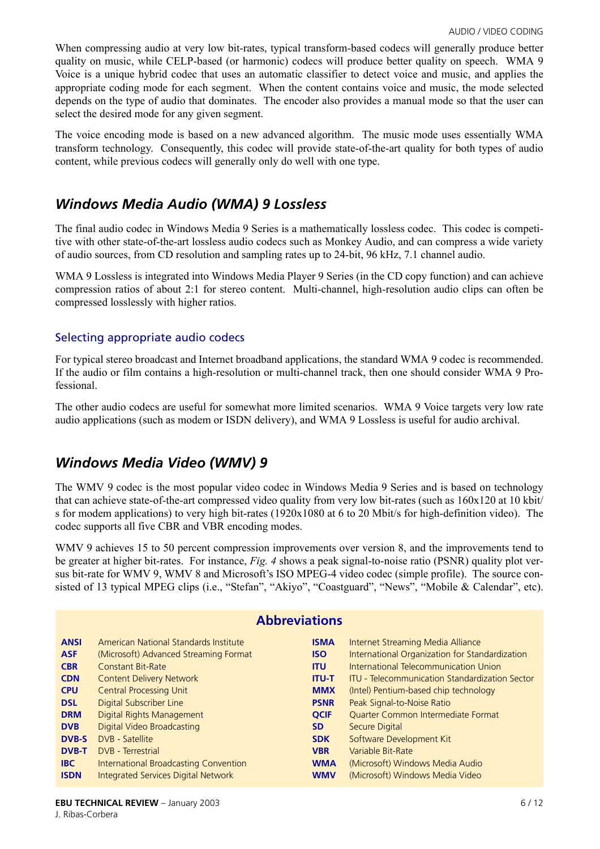When compressing audio at very low bit-rates, typical transform-based codecs will generally produce better quality on music, while CELP-based (or harmonic) codecs will produce better quality on speech. WMA 9 Voice is a unique hybrid codec that uses an automatic classifier to detect voice and music, and applies the appropriate coding mode for each segment. When the content contains voice and music, the mode selected depends on the type of audio that dominates. The encoder also provides a manual mode so that the user can select the desired mode for any given segment.

The voice encoding mode is based on a new advanced algorithm. The music mode uses essentially WMA transform technology. Consequently, this codec will provide state-of-the-art quality for both types of audio content, while previous codecs will generally only do well with one type.

## *Windows Media Audio (WMA) 9 Lossless*

The final audio codec in Windows Media 9 Series is a mathematically lossless codec. This codec is competitive with other state-of-the-art lossless audio codecs such as Monkey Audio, and can compress a wide variety of audio sources, from CD resolution and sampling rates up to 24-bit, 96 kHz, 7.1 channel audio.

WMA 9 Lossless is integrated into Windows Media Player 9 Series (in the CD copy function) and can achieve compression ratios of about 2:1 for stereo content. Multi-channel, high-resolution audio clips can often be compressed losslessly with higher ratios.

#### Selecting appropriate audio codecs

For typical stereo broadcast and Internet broadband applications, the standard WMA 9 codec is recommended. If the audio or film contains a high-resolution or multi-channel track, then one should consider WMA 9 Professional.

The other audio codecs are useful for somewhat more limited scenarios. WMA 9 Voice targets very low rate audio applications (such as modem or ISDN delivery), and WMA 9 Lossless is useful for audio archival.

## *Windows Media Video (WMV) 9*

The WMV 9 codec is the most popular video codec in Windows Media 9 Series and is based on technology that can achieve state-of-the-art compressed video quality from very low bit-rates (such as 160x120 at 10 kbit/ s for modem applications) to very high bit-rates (1920x1080 at 6 to 20 Mbit/s for high-definition video). The codec supports all five CBR and VBR encoding modes.

WMV 9 achieves 15 to 50 percent compression improvements over version 8, and the improvements tend to be greater at higher bit-rates. For instance, *Fig. 4* shows a peak signal-to-noise ratio (PSNR) quality plot versus bit-rate for WMV 9, WMV 8 and Microsoft's ISO MPEG-4 video codec (simple profile). The source consisted of 13 typical MPEG clips (i.e., "Stefan", "Akiyo", "Coastguard", "News", "Mobile & Calendar", etc).

| <b>Abbreviations</b> |                                            |              |                                                       |  |
|----------------------|--------------------------------------------|--------------|-------------------------------------------------------|--|
| <b>ANSI</b>          | American National Standards Institute      | <b>ISMA</b>  | Internet Streaming Media Alliance                     |  |
| <b>ASF</b>           | (Microsoft) Advanced Streaming Format      | <b>ISO</b>   | International Organization for Standardization        |  |
| <b>CBR</b>           | <b>Constant Bit-Rate</b>                   | <b>ITU</b>   | International Telecommunication Union                 |  |
| <b>CDN</b>           | <b>Content Delivery Network</b>            | <b>ITU-T</b> | <b>ITU - Telecommunication Standardization Sector</b> |  |
| <b>CPU</b>           | <b>Central Processing Unit</b>             | <b>MMX</b>   | (Intel) Pentium-based chip technology                 |  |
| <b>DSL</b>           | Digital Subscriber Line                    | <b>PSNR</b>  | Peak Signal-to-Noise Ratio                            |  |
| <b>DRM</b>           | Digital Rights Management                  | <b>OCIF</b>  | Quarter Common Intermediate Format                    |  |
| <b>DVB</b>           | Digital Video Broadcasting                 | <b>SD</b>    | Secure Digital                                        |  |
| <b>DVB-S</b>         | DVB - Satellite                            | <b>SDK</b>   | Software Development Kit                              |  |
| <b>DVB-T</b>         | DVB - Terrestrial                          | <b>VBR</b>   | Variable Bit-Rate                                     |  |
| <b>IBC</b>           | International Broadcasting Convention      | <b>WMA</b>   | (Microsoft) Windows Media Audio                       |  |
| <b>ISDN</b>          | <b>Integrated Services Digital Network</b> | <b>WMV</b>   | (Microsoft) Windows Media Video                       |  |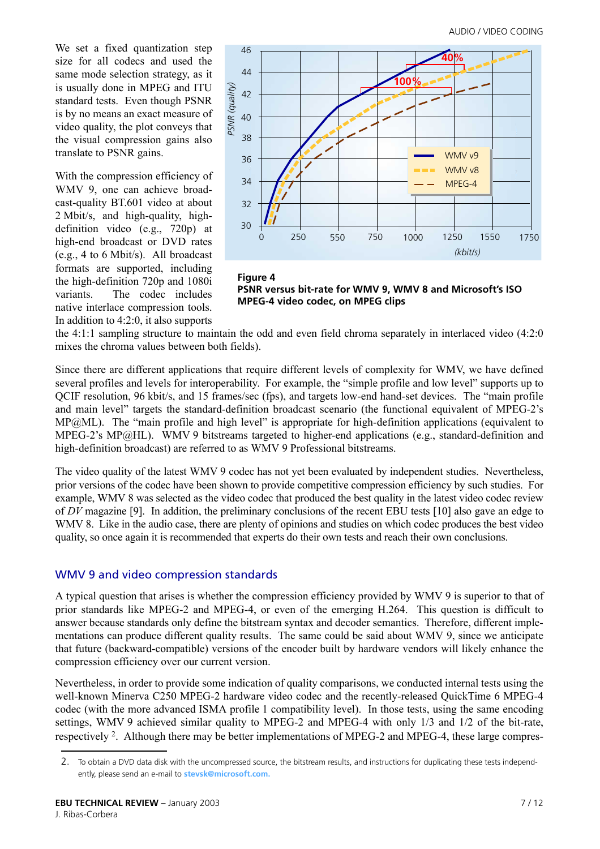We set a fixed quantization step size for all codecs and used the same mode selection strategy, as it is usually done in MPEG and ITU standard tests. Even though PSNR is by no means an exact measure of video quality, the plot conveys that the visual compression gains also translate to PSNR gains.

With the compression efficiency of WMV 9, one can achieve broadcast-quality BT.601 video at about 2 Mbit/s, and high-quality, highdefinition video (e.g., 720p) at high-end broadcast or DVD rates (e.g., 4 to 6 Mbit/s). All broadcast formats are supported, including the high-definition 720p and 1080i variants. The codec includes native interlace compression tools. In addition to 4:2:0, it also supports



**Figure 4 PSNR versus bit-rate for WMV 9, WMV 8 and Microsoft's ISO MPEG-4 video codec, on MPEG clips**

the 4:1:1 sampling structure to maintain the odd and even field chroma separately in interlaced video (4:2:0 mixes the chroma values between both fields).

Since there are different applications that require different levels of complexity for WMV, we have defined several profiles and levels for interoperability. For example, the "simple profile and low level" supports up to QCIF resolution, 96 kbit/s, and 15 frames/sec (fps), and targets low-end hand-set devices. The "main profile" and main level" targets the standard-definition broadcast scenario (the functional equivalent of MPEG-2's  $MP@ML$ ). The "main profile and high level" is appropriate for high-definition applications (equivalent to MPEG-2's MP@HL). WMV 9 bitstreams targeted to higher-end applications (e.g., standard-definition and high-definition broadcast) are referred to as WMV 9 Professional bitstreams.

The video quality of the latest WMV 9 codec has not yet been evaluated by independent studies. Nevertheless, prior versions of the codec have been shown to provide competitive compression efficiency by such studies. For example, WMV 8 was selected as the video codec that produced the best quality in the latest video codec review of *DV* magazine [\[9\]](#page-11-0). In addition, the preliminary conclusions of the recent EBU tests [\[10\]](#page-11-1) also gave an edge to WMV 8. Like in the audio case, there are plenty of opinions and studies on which codec produces the best video quality, so once again it is recommended that experts do their own tests and reach their own conclusions.

#### WMV 9 and video compression standards

A typical question that arises is whether the compression efficiency provided by WMV 9 is superior to that of prior standards like MPEG-2 and MPEG-4, or even of the emerging H.264. This question is difficult to answer because standards only define the bitstream syntax and decoder semantics. Therefore, different implementations can produce different quality results. The same could be said about WMV 9, since we anticipate that future (backward-compatible) versions of the encoder built by hardware vendors will likely enhance the compression efficiency over our current version.

Nevertheless, in order to provide some indication of quality comparisons, we conducted internal tests using the well-known Minerva C250 MPEG-2 hardware video codec and the recently-released QuickTime 6 MPEG-4 codec (with the more advanced ISMA profile 1 compatibility level). In those tests, using the same encoding settings, WMV 9 achieved similar quality to MPEG-2 and MPEG-4 with only 1/3 and 1/2 of the bit-rate, respectively 2. Although there may be better implementations of MPEG-2 and MPEG-4, these large compres-

<sup>2.</sup> To obtain a DVD data disk with the uncompressed source, the bitstream results, and instructions for duplicating these tests independently, please send an e-mail to **[stevsk@microsoft.com.](mailto:stevsk@microsoft.com)**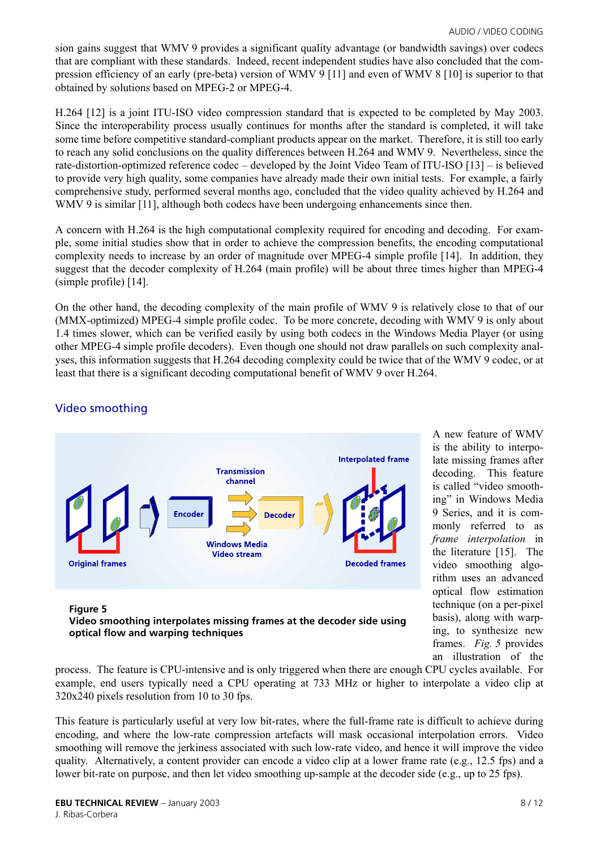sion gains suggest that WMV 9 provides a significant quality advantage (or bandwidth savings) over codecs that are compliant with these standards. Indeed, recent independent studies have also concluded that the compression efficiency of an early (pre-beta) version of WMV 9 [11] and even of WMV 8 [\[10\]](#page-11-1) is superior to that obtained by solutions based on MPEG-2 or MPEG-4.

H.264 [12] is a joint ITU-ISO video compression standard that is expected to be completed by May 2003. Since the interoperability process usually continues for months after the standard is completed, it will take some time before competitive standard-compliant products appear on the market. Therefore, it is still too early to reach any solid conclusions on the quality differences between H.264 and WMV 9. Nevertheless, since the rate-distortion-optimized reference codec  $-$  developed by the Joint Video Team of ITU-ISO  $[13]$  – is believed to provide very high quality, some companies have already made their own initial tests. For example, a fairly comprehensive study, performed several months ago, concluded that the video quality achieved by H.264 and WMV 9 is similar [11], although both codecs have been undergoing enhancements since then.

A concern with H.264 is the high computational complexity required for encoding and decoding. For example, some initial studies show that in order to achieve the compression benefits, the encoding computational complexity needs to increase by an order of magnitude over MPEG-4 simple profile [\[14\]](#page-11-4). In addition, they suggest that the decoder complexity of H.264 (main profile) will be about three times higher than MPEG-4 (simple profile) [\[14\].](#page-11-4)

On the other hand, the decoding complexity of the main profile of WMV 9 is relatively close to that of our (MMX-optimized) MPEG-4 simple profile codec. To be more concrete, decoding with WMV 9 is only about 1.4 times slower, which can be verified easily by using both codecs in the Windows Media Player (or using other MPEG-4 simple profile decoders). Even though one should not draw parallels on such complexity analyses, this information suggests that H.264 decoding complexity could be twice that of the WMV 9 codec, or at least that there is a significant decoding computational benefit of WMV 9 over H.264.

#### Video smoothing



**Video smoothing interpolates missing frames at the decoder side using** 

A new feature of WMV is the ability to interpolate missing frames after decoding. This feature is called "video smoothing" in Windows Media 9 Series, and it is commonly referred to as *frame interpolation* in the literature [\[15\].](#page-11-2) The video smoothing algorithm uses an advanced optical flow estimation technique (on a per-pixel basis), along with warping, to synthesize new frames. *Fig. 5* provides an illustration of the

process. The feature is CPU-intensive and is only triggered when there are enough CPU cycles available. For example, end users typically need a CPU operating at 733 MHz or higher to interpolate a video clip at 320x240 pixels resolution from 10 to 30 fps.

This feature is particularly useful at very low bit-rates, where the full-frame rate is difficult to achieve during encoding, and where the low-rate compression artefacts will mask occasional interpolation errors. Video smoothing will remove the jerkiness associated with such low-rate video, and hence it will improve the video quality. Alternatively, a content provider can encode a video clip at a lower frame rate (e.g., 12.5 fps) and a lower bit-rate on purpose, and then let video smoothing up-sample at the decoder side (e.g., up to 25 fps).

**optical flow and warping techniques**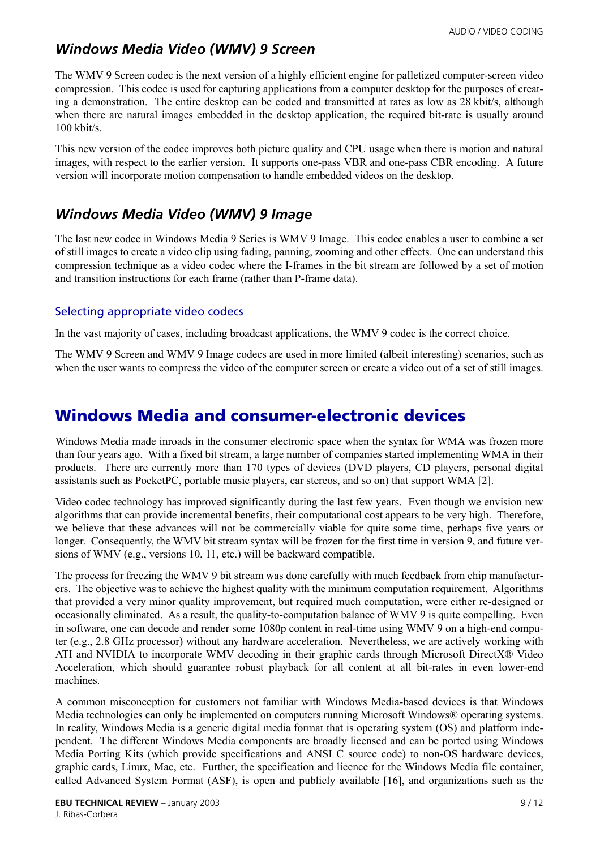## *Windows Media Video (WMV) 9 Screen*

The WMV 9 Screen codec is the next version of a highly efficient engine for palletized computer-screen video compression. This codec is used for capturing applications from a computer desktop for the purposes of creating a demonstration. The entire desktop can be coded and transmitted at rates as low as 28 kbit/s, although when there are natural images embedded in the desktop application, the required bit-rate is usually around 100 kbit/s.

This new version of the codec improves both picture quality and CPU usage when there is motion and natural images, with respect to the earlier version. It supports one-pass VBR and one-pass CBR encoding. A future version will incorporate motion compensation to handle embedded videos on the desktop.

## *Windows Media Video (WMV) 9 Image*

The last new codec in Windows Media 9 Series is WMV 9 Image. This codec enables a user to combine a set of still images to create a video clip using fading, panning, zooming and other effects. One can understand this compression technique as a video codec where the I-frames in the bit stream are followed by a set of motion and transition instructions for each frame (rather than P-frame data).

#### Selecting appropriate video codecs

In the vast majority of cases, including broadcast applications, the WMV 9 codec is the correct choice.

The WMV 9 Screen and WMV 9 Image codecs are used in more limited (albeit interesting) scenarios, such as when the user wants to compress the video of the computer screen or create a video out of a set of still images.

# **Windows Media and consumer-electronic devices**

Windows Media made inroads in the consumer electronic space when the syntax for WMA was frozen more than four years ago. With a fixed bit stream, a large number of companies started implementing WMA in their products. There are currently more than 170 types of devices (DVD players, CD players, personal digital assistants such as PocketPC, portable music players, car stereos, and so on) that support WMA [\[2\].](#page-10-1)

Video codec technology has improved significantly during the last few years. Even though we envision new algorithms that can provide incremental benefits, their computational cost appears to be very high. Therefore, we believe that these advances will not be commercially viable for quite some time, perhaps five years or longer. Consequently, the WMV bit stream syntax will be frozen for the first time in version 9, and future versions of WMV (e.g., versions 10, 11, etc.) will be backward compatible.

The process for freezing the WMV 9 bit stream was done carefully with much feedback from chip manufacturers. The objective was to achieve the highest quality with the minimum computation requirement. Algorithms that provided a very minor quality improvement, but required much computation, were either re-designed or occasionally eliminated. As a result, the quality-to-computation balance of WMV 9 is quite compelling. Even in software, one can decode and render some 1080p content in real-time using WMV 9 on a high-end computer (e.g., 2.8 GHz processor) without any hardware acceleration. Nevertheless, we are actively working with ATI and NVIDIA to incorporate WMV decoding in their graphic cards through Microsoft DirectX® Video Acceleration, which should guarantee robust playback for all content at all bit-rates in even lower-end machines.

A common misconception for customers not familiar with Windows Media-based devices is that Windows Media technologies can only be implemented on computers running Microsoft Windows® operating systems. In reality, Windows Media is a generic digital media format that is operating system (OS) and platform independent. The different Windows Media components are broadly licensed and can be ported using Windows Media Porting Kits (which provide specifications and ANSI C source code) to non-OS hardware devices, graphic cards, Linux, Mac, etc. Further, the specification and licence for the Windows Media file container, called Advanced System Format (ASF), is open and publicly available [\[16\],](#page-11-5) and organizations such as the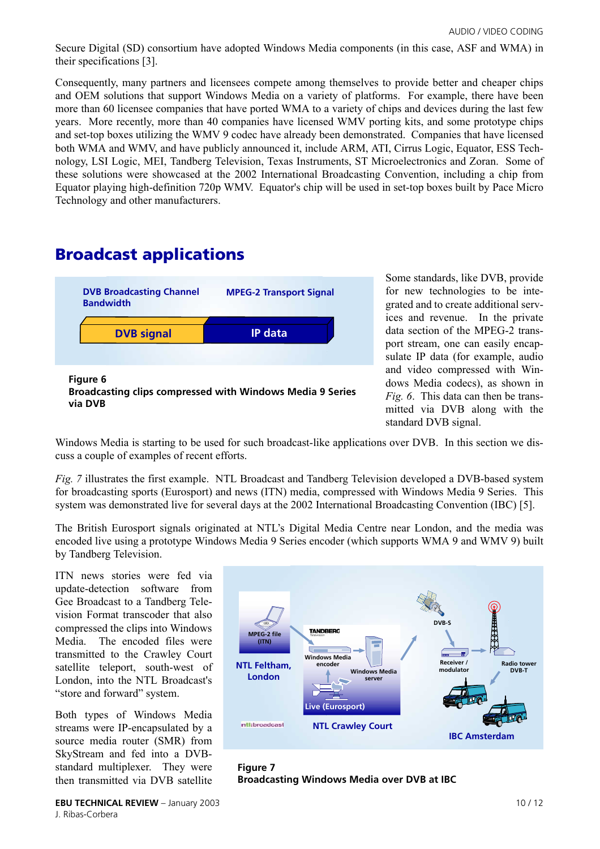Secure Digital (SD) consortium have adopted Windows Media components (in this case, ASF and WMA) in their specifications [\[3\].](#page-10-2)

Consequently, many partners and licensees compete among themselves to provide better and cheaper chips and OEM solutions that support Windows Media on a variety of platforms. For example, there have been more than 60 licensee companies that have ported WMA to a variety of chips and devices during the last few years. More recently, more than 40 companies have licensed WMV porting kits, and some prototype chips and set-top boxes utilizing the WMV 9 codec have already been demonstrated. Companies that have licensed both WMA and WMV, and have publicly announced it, include ARM, ATI, Cirrus Logic, Equator, ESS Technology, LSI Logic, MEI, Tandberg Television, Texas Instruments, ST Microelectronics and Zoran. Some of these solutions were showcased at the 2002 International Broadcasting Convention, including a chip from Equator playing high-definition 720p WMV. Equator's chip will be used in set-top boxes built by Pace Micro Technology and other manufacturers.

# **Broadcast applications**



Some standards, like DVB, provide for new technologies to be integrated and to create additional services and revenue. In the private data section of the MPEG-2 transport stream, one can easily encapsulate IP data (for example, audio and video compressed with Windows Media codecs), as shown in *Fig. 6*. This data can then be transmitted via DVB along with the standard DVB signal.

Windows Media is starting to be used for such broadcast-like applications over DVB. In this section we discuss a couple of examples of recent efforts.

*Fig. 7* illustrates the first example. NTL Broadcast and Tandberg Television developed a DVB-based system for broadcasting sports (Eurosport) and news (ITN) media, compressed with Windows Media 9 Series. This system was demonstrated live for several days at the 2002 International Broadcasting Convention (IBC) [\[5\].](#page-10-4)

The British Eurosport signals originated at NTL's Digital Media Centre near London, and the media was encoded live using a prototype Windows Media 9 Series encoder (which supports WMA 9 and WMV 9) built by Tandberg Television.

ITN news stories were fed via update-detection software from Gee Broadcast to a Tandberg Television Format transcoder that also compressed the clips into Windows Media. The encoded files were transmitted to the Crawley Court satellite teleport, south-west of London, into the NTL Broadcast's "store and forward" system.

Both types of Windows Media streams were IP-encapsulated by a source media router (SMR) from SkyStream and fed into a DVBstandard multiplexer. They were then transmitted via DVB satellite



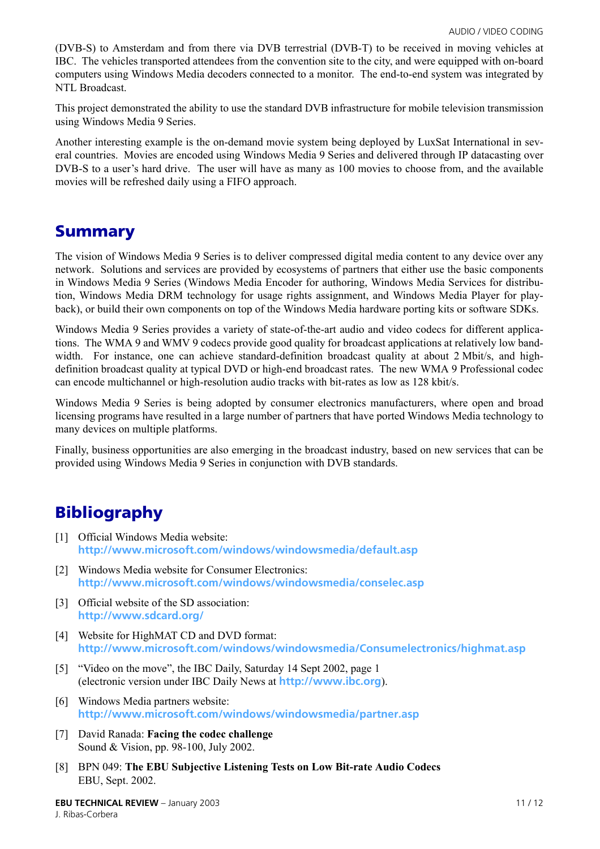(DVB-S) to Amsterdam and from there via DVB terrestrial (DVB-T) to be received in moving vehicles at IBC. The vehicles transported attendees from the convention site to the city, and were equipped with on-board computers using Windows Media decoders connected to a monitor. The end-to-end system was integrated by NTL Broadcast.

This project demonstrated the ability to use the standard DVB infrastructure for mobile television transmission using Windows Media 9 Series.

Another interesting example is the on-demand movie system being deployed by LuxSat International in several countries. Movies are encoded using Windows Media 9 Series and delivered through IP datacasting over DVB-S to a user's hard drive. The user will have as many as 100 movies to choose from, and the available movies will be refreshed daily using a FIFO approach.

# **Summary**

The vision of Windows Media 9 Series is to deliver compressed digital media content to any device over any network. Solutions and services are provided by ecosystems of partners that either use the basic components in Windows Media 9 Series (Windows Media Encoder for authoring, Windows Media Services for distribution, Windows Media DRM technology for usage rights assignment, and Windows Media Player for playback), or build their own components on top of the Windows Media hardware porting kits or software SDKs.

Windows Media 9 Series provides a variety of state-of-the-art audio and video codecs for different applications. The WMA 9 and WMV 9 codecs provide good quality for broadcast applications at relatively low bandwidth. For instance, one can achieve standard-definition broadcast quality at about 2 Mbit/s, and highdefinition broadcast quality at typical DVD or high-end broadcast rates. The new WMA 9 Professional codec can encode multichannel or high-resolution audio tracks with bit-rates as low as 128 kbit/s.

Windows Media 9 Series is being adopted by consumer electronics manufacturers, where open and broad licensing programs have resulted in a large number of partners that have ported Windows Media technology to many devices on multiple platforms.

Finally, business opportunities are also emerging in the broadcast industry, based on new services that can be provided using Windows Media 9 Series in conjunction with DVB standards.

# **Bibliography**

- <span id="page-10-0"></span>[1] Official Windows Media website: **<http://www.microsoft.com/windows/windowsmedia/default.asp>**
- <span id="page-10-1"></span>[2] Windows Media website for Consumer Electronics: **<http://www.microsoft.com/windows/windowsmedia/conselec.asp>**
- <span id="page-10-2"></span>[3] Official website of the SD association: **<http://www.sdcard.org/>**
- <span id="page-10-3"></span>[4] Website for HighMAT CD and DVD format: **<http://www.microsoft.com/windows/windowsmedia/Consumelectronics/highmat.asp>**
- <span id="page-10-4"></span>[5] "Video on the move", the IBC Daily, Saturday 14 Sept 2002, page 1 (electronic version under IBC Daily News at **<http://www.ibc.org>**).
- <span id="page-10-5"></span>[6] Windows Media partners website: **<http://www.microsoft.com/windows/windowsmedia/partner.asp>**
- <span id="page-10-6"></span>[7] David Ranada: **Facing the codec challenge** Sound & Vision, pp. 98-100, July 2002.
- <span id="page-10-7"></span>[8] BPN 049: **The EBU Subjective Listening Tests on Low Bit-rate Audio Codecs** EBU, Sept. 2002.